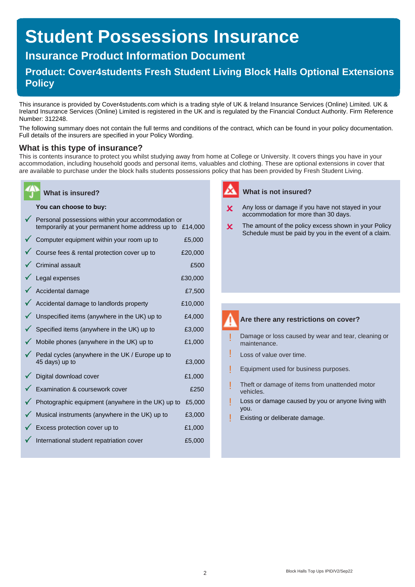# **Student Possessions Insurance**

## **Insurance Product Information Document**

## **Product: Cover4students Fresh Student Living Block Halls Optional Extensions Policy**

This insurance is provided by Cover4students.com which is a trading style of UK & Ireland Insurance Services (Online) Limited. UK & Ireland Insurance Services (Online) Limited is registered in the UK and is regulated by the Financial Conduct Authority. Firm Reference Number: 312248.

The following summary does not contain the full terms and conditions of the contract, which can be found in your policy documentation. Full details of the insurers are specified in your Policy Wording.

### **What is this type of insurance?**

This is contents insurance to protect you whilst studying away from home at College or University. It covers things you have in your accommodation, including household goods and personal items, valuables and clothing. These are optional extensions in cover that are available to purchase under the block halls students possessions policy that has been provided by Fresh Student Living.

### **You can choose to buy:**

**What is insured?**

| Personal possessions within your accommodation or<br>temporarily at your permanent home address up to £14,000 |         |
|---------------------------------------------------------------------------------------------------------------|---------|
| Computer equipment within your room up to                                                                     | £5,000  |
| Course fees & rental protection cover up to                                                                   | £20,000 |
| <b>Criminal assault</b>                                                                                       | £500    |
| Legal expenses                                                                                                | £30,000 |
| Accidental damage                                                                                             | £7,500  |
| Accidental damage to landlords property                                                                       | £10,000 |
| Unspecified items (anywhere in the UK) up to                                                                  | £4,000  |
| Specified items (anywhere in the UK) up to                                                                    | £3,000  |
| Mobile phones (anywhere in the UK) up to                                                                      | £1,000  |
| Pedal cycles (anywhere in the UK / Europe up to<br>45 days) up to                                             | £3,000  |
| Digital download cover                                                                                        | £1,000  |
| Examination & coursework cover                                                                                | £250    |
| Photographic equipment (anywhere in the UK) up to                                                             | £5,000  |
| Musical instruments (anywhere in the UK) up to                                                                | £3,000  |
| Excess protection cover up to                                                                                 | £1,000  |
| International student repatriation cover                                                                      | £5,000  |

### **What is not insured?**

- Any loss or damage if you have not stayed in your  $\mathbf x$ accommodation for more than 30 days.
- The amount of the policy excess shown in your Policy  $\mathbf x$ Schedule must be paid by you in the event of a claim.

### **Are there any restrictions on cover?**

- Damage or loss caused by wear and tear, cleaning or maintenance. !
- Loss of value over time. !
- Equipment used for business purposes. !
- Theft or damage of items from unattended motor vehicles. !
- Loss or damage caused by you or anyone living with you. !
- Existing or deliberate damage. !